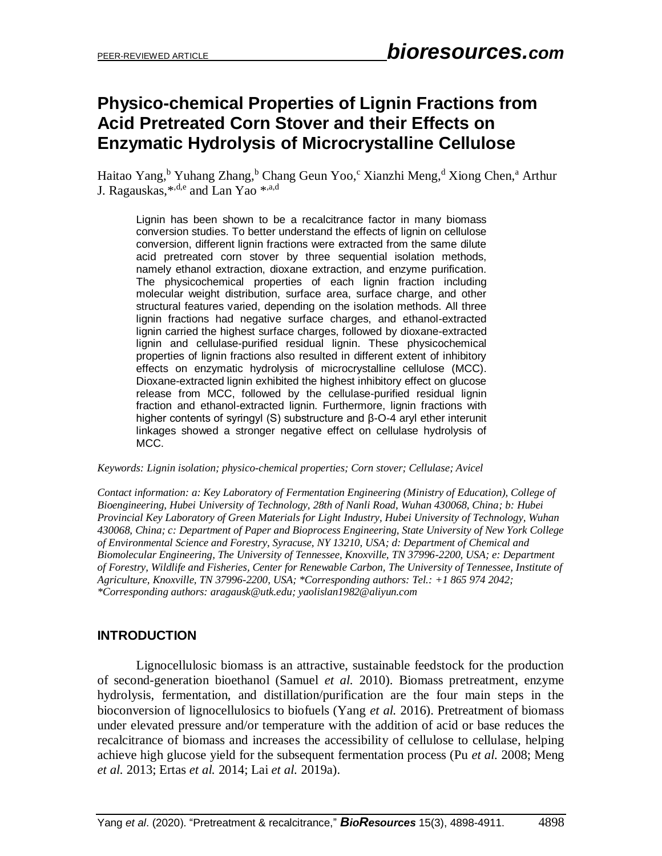# **Physico-chemical Properties of Lignin Fractions from Acid Pretreated Corn Stover and their Effects on Enzymatic Hydrolysis of Microcrystalline Cellulose**

Haitao Yang, <sup>b</sup> Yuhang Zhang, <sup>b</sup> Chang Geun Yoo, <sup>c</sup> Xianzhi Meng, <sup>d</sup> Xiong Chen, <sup>a</sup> Arthur J. Ragauskas, $^{*,\mathrm{d,e}}$  and Lan Yao  $^{*,\mathrm{a,d}}$ 

Lignin has been shown to be a recalcitrance factor in many biomass conversion studies. To better understand the effects of lignin on cellulose conversion, different lignin fractions were extracted from the same dilute acid pretreated corn stover by three sequential isolation methods, namely ethanol extraction, dioxane extraction, and enzyme purification. The physicochemical properties of each lignin fraction including molecular weight distribution, surface area, surface charge, and other structural features varied, depending on the isolation methods. All three lignin fractions had negative surface charges, and ethanol-extracted lignin carried the highest surface charges, followed by dioxane-extracted lignin and cellulase-purified residual lignin. These physicochemical properties of lignin fractions also resulted in different extent of inhibitory effects on enzymatic hydrolysis of microcrystalline cellulose (MCC). Dioxane-extracted lignin exhibited the highest inhibitory effect on glucose release from MCC, followed by the cellulase-purified residual lignin fraction and ethanol-extracted lignin. Furthermore, lignin fractions with higher contents of syringyl (S) substructure and β-O-4 aryl ether interunit linkages showed a stronger negative effect on cellulase hydrolysis of MCC.

*Keywords: Lignin isolation; physico-chemical properties; Corn stover; Cellulase; Avicel*

*Contact information: a: Key Laboratory of Fermentation Engineering (Ministry of Education), College of Bioengineering, Hubei University of Technology, 28th of Nanli Road, Wuhan 430068, China; b: Hubei Provincial Key Laboratory of Green Materials for Light Industry, Hubei University of Technology, Wuhan 430068, China; c: Department of Paper and Bioprocess Engineering, State University of New York College of Environmental Science and Forestry, Syracuse, NY 13210, USA; d: Department of Chemical and Biomolecular Engineering, The University of Tennessee, Knoxville, TN 37996-2200, USA; e: Department of Forestry, Wildlife and Fisheries, Center for Renewable Carbon, The University of Tennessee, Institute of Agriculture, Knoxville, TN 37996-2200, USA; \*Corresponding authors: Tel.: +1 865 974 2042; \*Corresponding authors[: aragausk@utk.edu;](mailto:aragausk@utk.edu) yaolislan1982@aliyun.com*

# **INTRODUCTION**

Lignocellulosic biomass is an attractive, sustainable feedstock for the production of second-generation bioethanol (Samuel *et al.* 2010). Biomass pretreatment, enzyme hydrolysis, fermentation, and distillation/purification are the four main steps in the bioconversion of lignocellulosics to biofuels (Yang *et al.* 2016). Pretreatment of biomass under elevated pressure and/or temperature with the addition of acid or base reduces the recalcitrance of biomass and increases the accessibility of cellulose to cellulase, helping achieve high glucose yield for the subsequent fermentation process (Pu *et al.* 2008; Meng *et al.* 2013; Ertas *et al.* 2014; Lai *et al.* 2019a).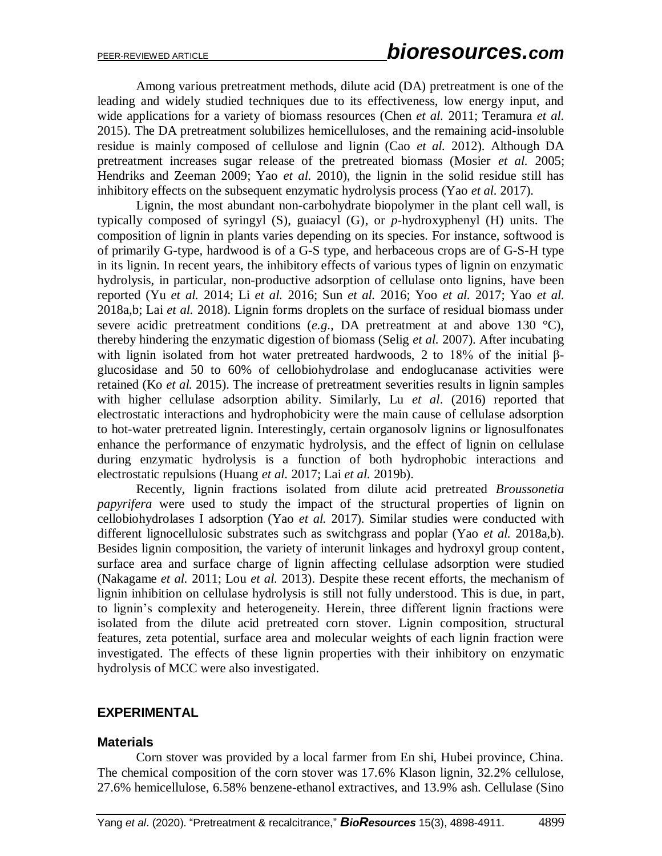Among various pretreatment methods, dilute acid (DA) pretreatment is one of the leading and widely studied techniques due to its effectiveness, low energy input, and wide applications for a variety of biomass resources (Chen *et al.* 2011; Teramura *et al.* 2015). The DA pretreatment solubilizes hemicelluloses, and the remaining acid-insoluble residue is mainly composed of cellulose and lignin (Cao *et al.* 2012). Although DA pretreatment increases sugar release of the pretreated biomass (Mosier *et al.* 2005; Hendriks and Zeeman 2009; Yao *et al.* 2010), the lignin in the solid residue still has inhibitory effects on the subsequent enzymatic hydrolysis process (Yao *et al.* 2017).

Lignin, the most abundant non-carbohydrate biopolymer in the plant cell wall, is typically composed of syringyl (S), guaiacyl (G), or *p*-hydroxyphenyl (H) units. The composition of lignin in plants varies depending on its species. For instance, softwood is of primarily G-type, hardwood is of a G-S type, and herbaceous crops are of G-S-H type in its lignin. In recent years, the inhibitory effects of various types of lignin on enzymatic hydrolysis, in particular, non-productive adsorption of cellulase onto lignins, have been reported (Yu *et al.* 2014; Li *et al.* 2016; Sun *et al.* 2016; Yoo *et al.* 2017; Yao *et al.* 2018a,b; Lai *et al.* 2018). Lignin forms droplets on the surface of residual biomass under severe acidic pretreatment conditions (*e.g*., DA pretreatment at and above 130 °C), thereby hindering the enzymatic digestion of biomass (Selig *et al.* 2007). After incubating with lignin isolated from hot water pretreated hardwoods, 2 to 18% of the initial βglucosidase and 50 to 60% of cellobiohydrolase and endoglucanase activities were retained (Ko *et al.* 2015). The increase of pretreatment severities results in lignin samples with higher cellulase adsorption ability. Similarly, Lu *et al*. (2016) reported that electrostatic interactions and hydrophobicity were the main cause of cellulase adsorption to hot-water pretreated lignin. Interestingly, certain organosolv lignins or lignosulfonates enhance the performance of enzymatic hydrolysis, and the effect of lignin on cellulase during enzymatic hydrolysis is a function of both hydrophobic interactions and electrostatic repulsions (Huang *et al.* 2017; Lai *et al.* 2019b).

Recently, lignin fractions isolated from dilute acid pretreated *Broussonetia papyrifera* were used to study the impact of the structural properties of lignin on cellobiohydrolases I adsorption (Yao *et al.* 2017). Similar studies were conducted with different lignocellulosic substrates such as switchgrass and poplar (Yao *et al.* 2018a,b). Besides lignin composition, the variety of interunit linkages and hydroxyl group content, surface area and surface charge of lignin affecting cellulase adsorption were studied (Nakagame *et al.* 2011; Lou *et al.* 2013). Despite these recent efforts, the mechanism of lignin inhibition on cellulase hydrolysis is still not fully understood. This is due, in part, to lignin's complexity and heterogeneity. Herein, three different lignin fractions were isolated from the dilute acid pretreated corn stover. Lignin composition, structural features, zeta potential, surface area and molecular weights of each lignin fraction were investigated. The effects of these lignin properties with their inhibitory on enzymatic hydrolysis of MCC were also investigated.

# **EXPERIMENTAL**

#### **Materials**

Corn stover was provided by a local farmer from En shi, Hubei province, China. The chemical composition of the corn stover was 17.6% Klason lignin, 32.2% cellulose, 27.6% hemicellulose, 6.58% benzene-ethanol extractives, and 13.9% ash. Cellulase (Sino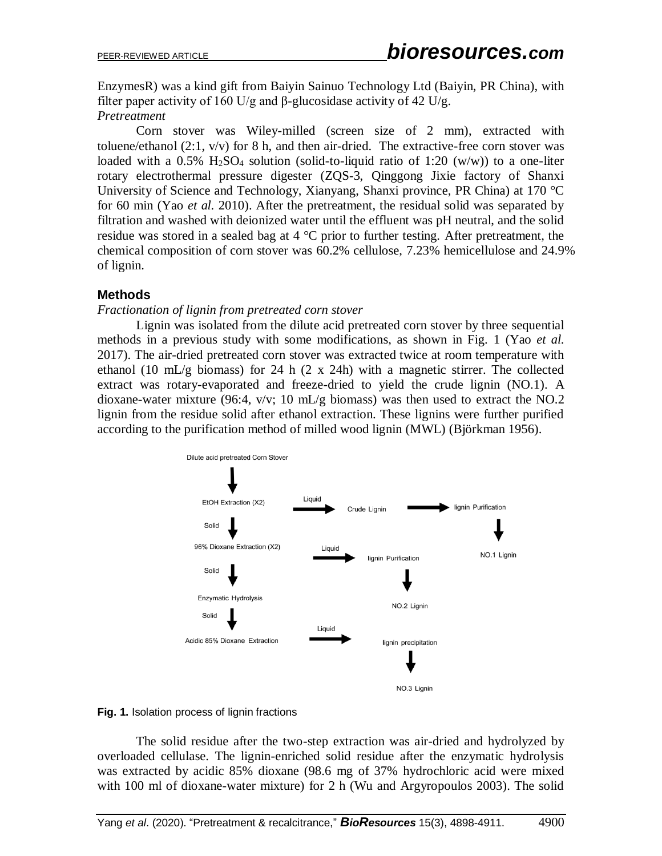EnzymesR) was a kind gift from Baiyin Sainuo Technology Ltd (Baiyin, PR China), with filter paper activity of 160 U/g and β-glucosidase activity of 42 U/g.

#### *Pretreatment*

Corn stover was Wiley-milled (screen size of 2 mm), extracted with toluene/ethanol (2:1, v/v) for 8 h, and then air-dried. The extractive-free corn stover was loaded with a  $0.5\%$  H<sub>2</sub>SO<sub>4</sub> solution (solid-to-liquid ratio of 1:20 (w/w)) to a one-liter rotary electrothermal pressure digester (ZQS-3, Qinggong Jixie factory of Shanxi University of Science and Technology, Xianyang, Shanxi province, PR China) at 170 °C for 60 min (Yao *et al.* 2010). After the pretreatment, the residual solid was separated by filtration and washed with deionized water until the effluent was pH neutral, and the solid residue was stored in a sealed bag at 4 °C prior to further testing. After pretreatment, the chemical composition of corn stover was 60.2% cellulose, 7.23% hemicellulose and 24.9% of lignin.

# **Methods**

## *Fractionation of lignin from pretreated corn stover*

Lignin was isolated from the dilute acid pretreated corn stover by three sequential methods in a previous study with some modifications, as shown in Fig. 1 (Yao *et al.* 2017). The air-dried pretreated corn stover was extracted twice at room temperature with ethanol (10 mL/g biomass) for 24 h (2 x 24h) with a magnetic stirrer. The collected extract was rotary-evaporated and freeze-dried to yield the crude lignin (NO.1). A dioxane-water mixture (96:4, v/v; 10 mL/g biomass) was then used to extract the NO.2 lignin from the residue solid after ethanol extraction. These lignins were further purified according to the purification method of milled wood lignin (MWL) (Björkman 1956).



**Fig. 1.** Isolation process of lignin fractions

The solid residue after the two-step extraction was air-dried and hydrolyzed by overloaded cellulase. The lignin-enriched solid residue after the enzymatic hydrolysis was extracted by acidic 85% dioxane (98.6 mg of 37% hydrochloric acid were mixed with 100 ml of dioxane-water mixture) for 2 h (Wu and Argyropoulos 2003). The solid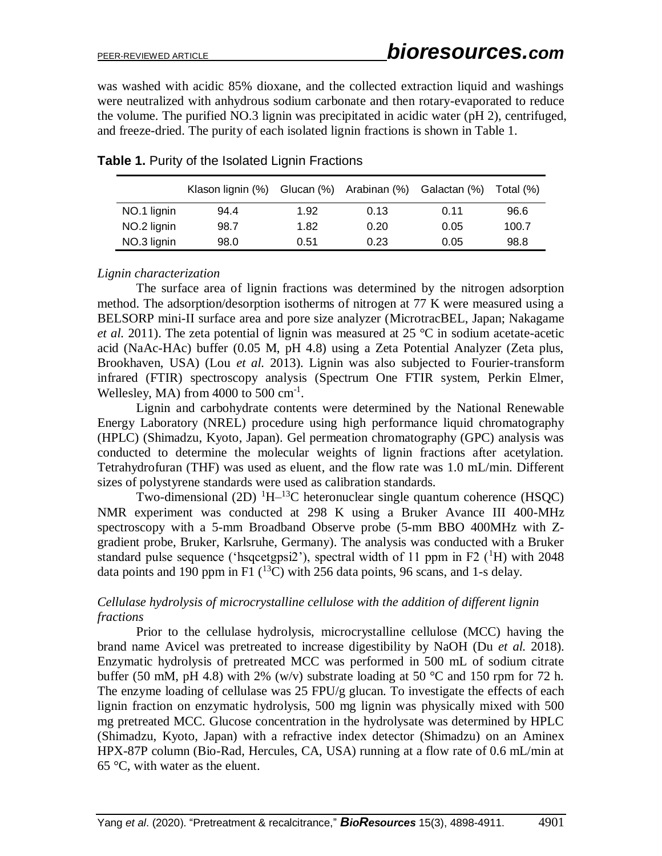was washed with acidic 85% dioxane, and the collected extraction liquid and washings were neutralized with anhydrous sodium carbonate and then rotary-evaporated to reduce the volume. The purified NO.3 lignin was precipitated in acidic water (pH 2), centrifuged, and freeze-dried. The purity of each isolated lignin fractions is shown in Table 1.

|             | Klason lignin (%) | Glucan (%) | Arabinan (%) | Galactan (%) | Total (%) |
|-------------|-------------------|------------|--------------|--------------|-----------|
| NO.1 lignin | 94.4              | 1.92       | 0.13         | 0.11         | 96.6      |
| NO.2 lignin | 98.7              | 1.82       | 0.20         | 0.05         | 100.7     |
| NO.3 lignin | 98.0              | 0.51       | 0.23         | 0.05         | 98.8      |

**Table 1.** Purity of the Isolated Lignin Fractions

#### *Lignin characterization*

The surface area of lignin fractions was determined by the nitrogen adsorption method. The adsorption/desorption isotherms of nitrogen at 77 K were measured using a BELSORP mini-II surface area and pore size analyzer (MicrotracBEL, Japan; Nakagame *et al.* 2011). The zeta potential of lignin was measured at 25 °C in sodium acetate-acetic acid (NaAc-HAc) buffer (0.05 M, pH 4.8) using a Zeta Potential Analyzer (Zeta plus, Brookhaven, USA) (Lou *et al.* 2013). Lignin was also subjected to Fourier-transform infrared (FTIR) spectroscopy analysis (Spectrum One FTIR system, Perkin Elmer, Wellesley, MA) from  $4000$  to  $500 \text{ cm}^{-1}$ .

Lignin and carbohydrate contents were determined by the National Renewable Energy Laboratory (NREL) procedure using high performance liquid chromatography (HPLC) (Shimadzu, Kyoto, Japan). Gel permeation chromatography (GPC) analysis was conducted to determine the molecular weights of lignin fractions after acetylation. Tetrahydrofuran (THF) was used as eluent, and the flow rate was 1.0 mL/min. Different sizes of polystyrene standards were used as calibration standards.

Two-dimensional (2D)  ${}^{1}H-{}^{13}C$  heteronuclear single quantum coherence (HSQC) NMR experiment was conducted at 298 K using a Bruker Avance III 400-MHz spectroscopy with a 5-mm Broadband Observe probe (5-mm BBO 400MHz with Zgradient probe, Bruker, Karlsruhe, Germany). The analysis was conducted with a Bruker standard pulse sequence ('hsqcetgpsi2'), spectral width of 11 ppm in F2 ( ${}^{1}$ H) with 2048 data points and 190 ppm in F1  $(^{13}C)$  with 256 data points, 96 scans, and 1-s delay.

## *Cellulase hydrolysis of microcrystalline cellulose with the addition of different lignin fractions*

Prior to the cellulase hydrolysis, microcrystalline cellulose (MCC) having the brand name Avicel was pretreated to increase digestibility by NaOH (Du *et al.* 2018). Enzymatic hydrolysis of pretreated MCC was performed in 500 mL of sodium citrate buffer (50 mM, pH 4.8) with 2% (w/v) substrate loading at 50 °C and 150 rpm for 72 h. The enzyme loading of cellulase was 25 FPU/g glucan. To investigate the effects of each lignin fraction on enzymatic hydrolysis, 500 mg lignin was physically mixed with 500 mg pretreated MCC. Glucose concentration in the hydrolysate was determined by HPLC (Shimadzu, Kyoto, Japan) with a refractive index detector (Shimadzu) on an Aminex HPX-87P column (Bio-Rad, Hercules, CA, USA) running at a flow rate of 0.6 mL/min at 65  $\degree$ C, with water as the eluent.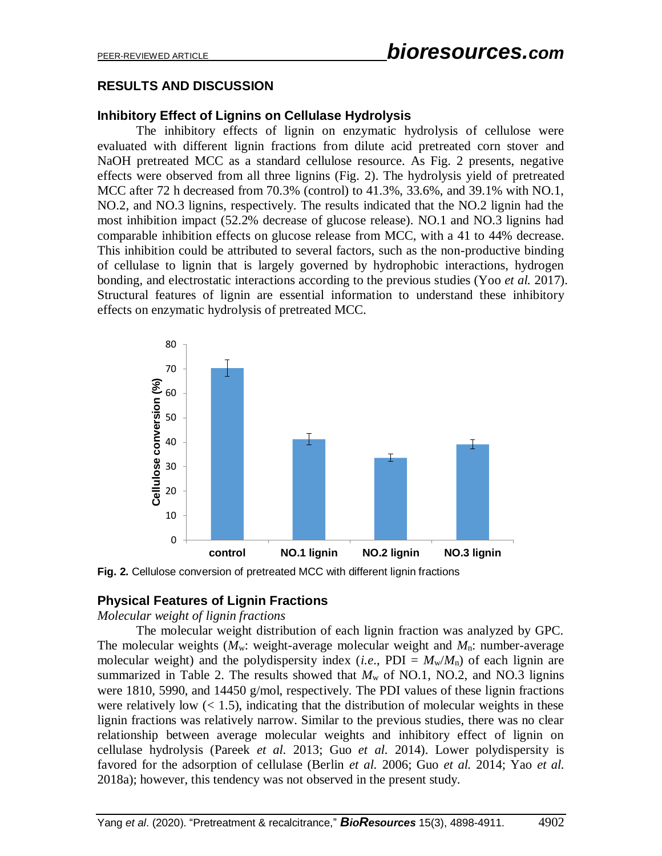# **RESULTS AND DISCUSSION**

# **Inhibitory Effect of Lignins on Cellulase Hydrolysis**

The inhibitory effects of lignin on enzymatic hydrolysis of cellulose were evaluated with different lignin fractions from dilute acid pretreated corn stover and NaOH pretreated MCC as a standard cellulose resource. As Fig. 2 presents, negative effects were observed from all three lignins (Fig. 2). The hydrolysis yield of pretreated MCC after 72 h decreased from 70.3% (control) to 41.3%, 33.6%, and 39.1% with NO.1, NO.2, and NO.3 lignins, respectively. The results indicated that the NO.2 lignin had the most inhibition impact (52.2% decrease of glucose release). NO.1 and NO.3 lignins had comparable inhibition effects on glucose release from MCC, with a 41 to 44% decrease. This inhibition could be attributed to several factors, such as the non-productive binding of cellulase to lignin that is largely governed by hydrophobic interactions, hydrogen bonding, and electrostatic interactions according to the previous studies (Yoo *et al.* 2017). Structural features of lignin are essential information to understand these inhibitory effects on enzymatic hydrolysis of pretreated MCC.



**Fig. 2.** Cellulose conversion of pretreated MCC with different lignin fractions

# **Physical Features of Lignin Fractions**

#### *Molecular weight of lignin fractions*

The molecular weight distribution of each lignin fraction was analyzed by GPC. The molecular weights  $(M_w:$  weight-average molecular weight and  $M_n:$  number-average molecular weight) and the polydispersity index (*i.e.*, PDI =  $M_w/M_p$ ) of each lignin are summarized in Table 2. The results showed that  $M_w$  of NO.1, NO.2, and NO.3 lignins were 1810, 5990, and 14450 g/mol, respectively. The PDI values of these lignin fractions were relatively low  $(< 1.5)$ , indicating that the distribution of molecular weights in these lignin fractions was relatively narrow. Similar to the previous studies, there was no clear relationship between average molecular weights and inhibitory effect of lignin on cellulase hydrolysis (Pareek *et al.* 2013; Guo *et al.* 2014). Lower polydispersity is favored for the adsorption of cellulase (Berlin *et al.* 2006; Guo *et al.* 2014; Yao *et al.* 2018a); however, this tendency was not observed in the present study.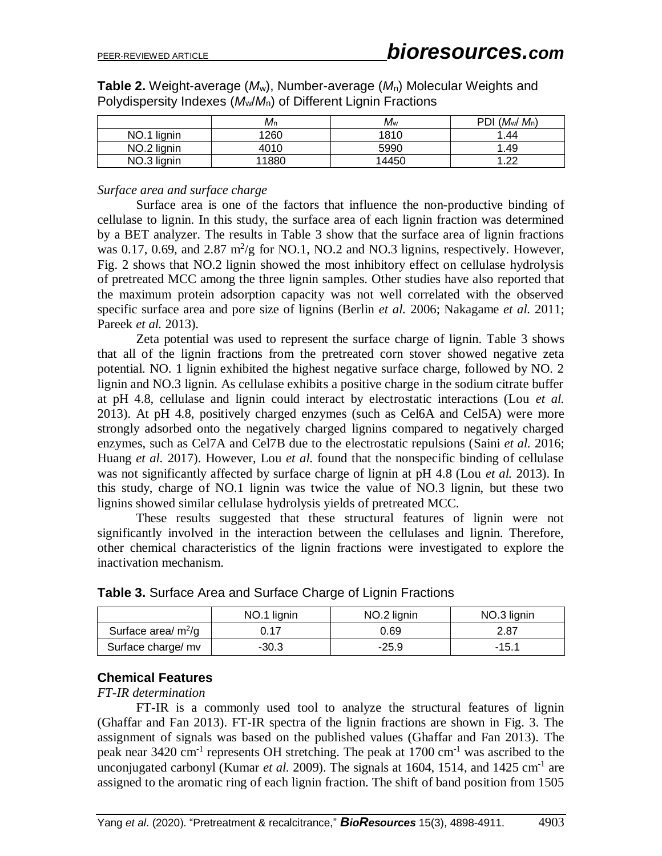**Table 2.** Weight-average (*M*w), Number-average (*M*n) Molecular Weights and Polydispersity Indexes (*M*w/*M*n) of Different Lignin Fractions

|                | Mn    | Мw    | $(M_w/M_n)$<br>PDI |
|----------------|-------|-------|--------------------|
| NO.1<br>lignin | 1260  | 1810  | 1.44               |
| NO.2 lignin    | 4010  | 5990  | .49                |
| NO.3 lignin    | 11880 | 14450 | റ്റ                |

*Surface area and surface charge*

Surface area is one of the factors that influence the non-productive binding of cellulase to lignin. In this study, the surface area of each lignin fraction was determined by a BET analyzer. The results in Table 3 show that the surface area of lignin fractions was 0.17, 0.69, and 2.87  $m^2/g$  for NO.1, NO.2 and NO.3 lignins, respectively. However, Fig. 2 shows that NO.2 lignin showed the most inhibitory effect on cellulase hydrolysis of pretreated MCC among the three lignin samples. Other studies have also reported that the maximum protein adsorption capacity was not well correlated with the observed specific surface area and pore size of lignins (Berlin *et al.* 2006; Nakagame *et al.* 2011; Pareek *et al.* 2013).

Zeta potential was used to represent the surface charge of lignin. Table 3 shows that all of the lignin fractions from the pretreated corn stover showed negative zeta potential. NO. 1 lignin exhibited the highest negative surface charge, followed by NO. 2 lignin and NO.3 lignin. As cellulase exhibits a positive charge in the sodium citrate buffer at pH 4.8, cellulase and lignin could interact by electrostatic interactions (Lou *et al.* 2013). At pH 4.8, positively charged enzymes (such as Cel6A and Cel5A) were more strongly adsorbed onto the negatively charged lignins compared to negatively charged enzymes, such as Cel7A and Cel7B due to the electrostatic repulsions (Saini *et al.* 2016; Huang *et al.* 2017). However, Lou *et al.* found that the nonspecific binding of cellulase was not significantly affected by surface charge of lignin at pH 4.8 (Lou *et al.* 2013). In this study, charge of NO.1 lignin was twice the value of NO.3 lignin, but these two lignins showed similar cellulase hydrolysis yields of pretreated MCC.

These results suggested that these structural features of lignin were not significantly involved in the interaction between the cellulases and lignin. Therefore, other chemical characteristics of the lignin fractions were investigated to explore the inactivation mechanism.

|                       | NO.1 lignin | NO.2 lignin | NO.3 lignin |
|-----------------------|-------------|-------------|-------------|
| Surface area/ $m^2/g$ | J.17        | 0.69        | 2.87        |
| Surface charge/ mv    | $-30.3$     | $-25.9$     | -15.1       |

| Table 3. Surface Area and Surface Charge of Lignin Fractions |  |  |
|--------------------------------------------------------------|--|--|
|--------------------------------------------------------------|--|--|

# **Chemical Features**

*FT-IR determination*

FT-IR is a commonly used tool to analyze the structural features of lignin (Ghaffar and Fan 2013). FT-IR spectra of the lignin fractions are shown in Fig. 3. The assignment of signals was based on the published values (Ghaffar and Fan 2013). The peak near 3420 cm<sup>-1</sup> represents OH stretching. The peak at 1700 cm<sup>-1</sup> was ascribed to the unconjugated carbonyl (Kumar *et al.* 2009). The signals at 1604, 1514, and 1425 cm<sup>-1</sup> are assigned to the aromatic ring of each lignin fraction. The shift of band position from 1505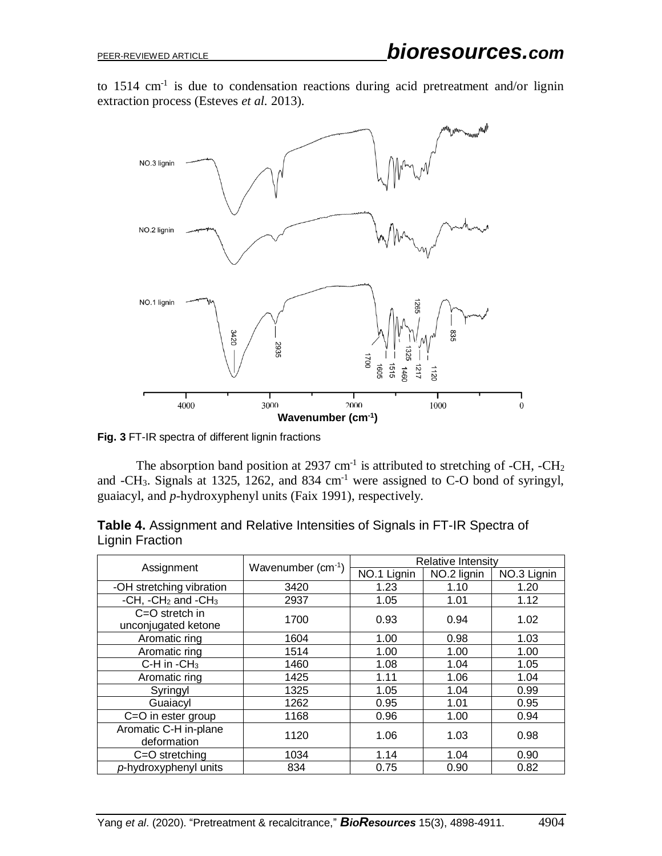to  $1514 \text{ cm}^{-1}$  is due to condensation reactions during acid pretreatment and/or lignin extraction process (Esteves *et al.* 2013).



**Fig. 3** FT-IR spectra of different lignin fractions

The absorption band position at 2937 cm<sup>-1</sup> is attributed to stretching of -CH, -CH<sub>2</sub> and  $-CH_3$ . Signals at 1325, 1262, and 834 cm<sup>-1</sup> were assigned to C-O bond of syringyl, guaiacyl, and *p*-hydroxyphenyl units (Faix 1991), respectively.

|                                           |                   | Relative Intensity |             |             |  |
|-------------------------------------------|-------------------|--------------------|-------------|-------------|--|
| Assignment                                | Wavenumber (cm-1) | NO.1 Lignin        | NO.2 lignin | NO.3 Lignin |  |
| -OH stretching vibration                  | 3420              | 1.23               | 1.10        | 1.20        |  |
| -CH, $-CH2$ and $-CH3$                    | 2937              | 1.05               | 1.01        | 1.12        |  |
| $C = O$ stretch in<br>unconjugated ketone | 1700              | 0.93               | 0.94        | 1.02        |  |
| Aromatic ring                             | 1604              | 1.00               | 0.98        | 1.03        |  |
| Aromatic ring                             | 1514              | 1.00               | 1.00        | 1.00        |  |
| C-H in $-CH3$                             | 1460              | 1.08               | 1.04        | 1.05        |  |
| Aromatic ring                             | 1425              | 1.11               | 1.06        | 1.04        |  |
| Syringyl                                  | 1325              | 1.05               | 1.04        | 0.99        |  |
| Guaiacyl                                  | 1262              | 0.95               | 1.01        | 0.95        |  |
| C=O in ester group                        | 1168              | 0.96               | 1.00        | 0.94        |  |
| Aromatic C-H in-plane<br>deformation      | 1120              | 1.06               | 1.03        | 0.98        |  |
| $C = O$ stretching                        | 1034              | 1.14               | 1.04        | 0.90        |  |
| p-hydroxyphenyl units                     | 834               | 0.75               | 0.90        | 0.82        |  |

| Table 4. Assignment and Relative Intensities of Signals in FT-IR Spectra of |  |  |  |
|-----------------------------------------------------------------------------|--|--|--|
| Lignin Fraction                                                             |  |  |  |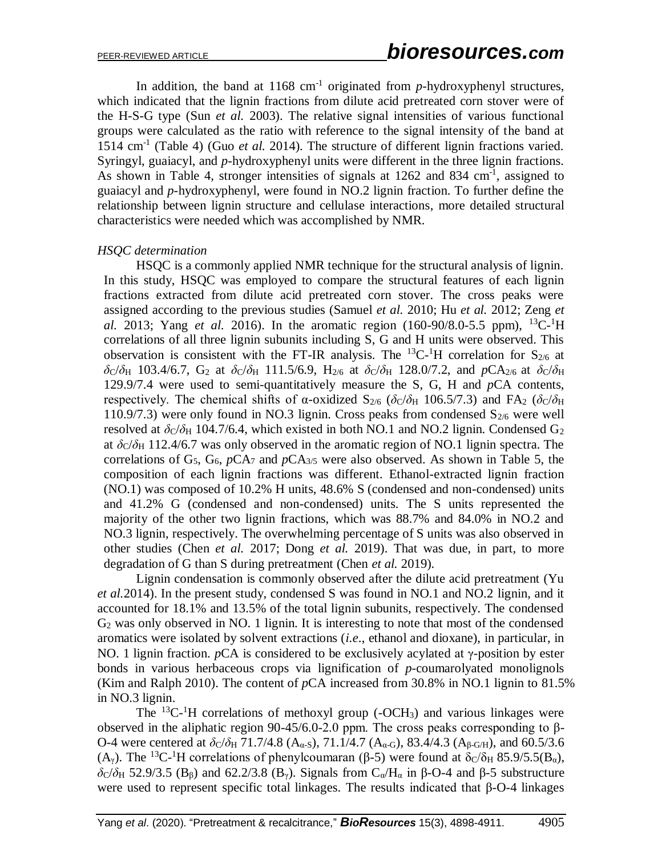In addition, the band at  $1168 \text{ cm}^{-1}$  originated from *p*-hydroxyphenyl structures, which indicated that the lignin fractions from dilute acid pretreated corn stover were of the H-S-G type (Sun *et al.* 2003). The relative signal intensities of various functional groups were calculated as the ratio with reference to the signal intensity of the band at 1514 cm<sup>-1</sup> (Table 4) (Guo *et al.* 2014). The structure of different lignin fractions varied. Syringyl, guaiacyl, and *p*-hydroxyphenyl units were different in the three lignin fractions. As shown in Table 4, stronger intensities of signals at 1262 and 834 cm<sup>-1</sup>, assigned to guaiacyl and *p*-hydroxyphenyl, were found in NO.2 lignin fraction. To further define the relationship between lignin structure and cellulase interactions, more detailed structural characteristics were needed which was accomplished by NMR.

## *HSQC determination*

HSQC is a commonly applied NMR technique for the structural analysis of lignin. In this study, HSQC was employed to compare the structural features of each lignin fractions extracted from dilute acid pretreated corn stover. The cross peaks were assigned according to the previous studies (Samuel *et al.* 2010; Hu *et al.* 2012; Zeng *et al.* 2013; Yang *et al.* 2016). In the aromatic region (160-90/8.0-5.5 ppm), <sup>13</sup>C-<sup>1</sup>H correlations of all three lignin subunits including S, G and H units were observed. This observation is consistent with the FT-IR analysis. The  ${}^{13}C$ - ${}^{1}H$  correlation for  $S_{2/6}$  at *δ*C/*δ*H 103.4/6.7, G<sub>2</sub> at *δ*C/*δ*H 111.5/6.9, H<sub>2/6</sub> at *δ*C/*δ*H 128.0/7.2, and *p*CA<sub>2/6</sub> at *δ*C/*δ*H 129.9/7.4 were used to semi-quantitatively measure the S, G, H and *p*CA contents, respectively. The chemical shifts of  $\alpha$ -oxidized S<sub>2/6</sub> ( $\delta$ C/ $\delta$ H 106.5/7.3) and FA<sub>2</sub> ( $\delta$ C/ $\delta$ H 110.9/7.3) were only found in NO.3 lignin. Cross peaks from condensed  $S_{2/6}$  were well resolved at  $\delta$ <sub>C</sub>/ $\delta$ <sub>H</sub> 104.7/6.4, which existed in both NO.1 and NO.2 lignin. Condensed G<sub>2</sub> at  $\delta$ <sub>C</sub>/ $\delta$ <sub>H</sub> 112.4/6.7 was only observed in the aromatic region of NO.1 lignin spectra. The correlations of  $G_5$ ,  $G_6$ ,  $pCA_7$  and  $pCA_{3/5}$  were also observed. As shown in Table 5, the composition of each lignin fractions was different. Ethanol-extracted lignin fraction (NO.1) was composed of 10.2% H units, 48.6% S (condensed and non-condensed) units and 41.2% G (condensed and non-condensed) units. The S units represented the majority of the other two lignin fractions, which was 88.7% and 84.0% in NO.2 and NO.3 lignin, respectively. The overwhelming percentage of S units was also observed in other studies (Chen *et al.* 2017; Dong *et al.* 2019). That was due, in part, to more degradation of G than S during pretreatment (Chen *et al.* 2019).

Lignin condensation is commonly observed after the dilute acid pretreatment (Yu *et al.*2014). In the present study, condensed S was found in NO.1 and NO.2 lignin, and it accounted for 18.1% and 13.5% of the total lignin subunits, respectively. The condensed G<sup>2</sup> was only observed in NO. 1 lignin. It is interesting to note that most of the condensed aromatics were isolated by solvent extractions (*i.e*., ethanol and dioxane), in particular, in NO. 1 lignin fraction. *p*CA is considered to be exclusively acylated at γ-position by ester bonds in various herbaceous crops via lignification of *p*-coumarolyated monolignols (Kim and Ralph 2010). The content of *p*CA increased from 30.8% in NO.1 lignin to 81.5% in NO.3 lignin.

The  ${}^{13}C$ -<sup>1</sup>H correlations of methoxyl group (-OCH<sub>3</sub>) and various linkages were observed in the aliphatic region 90-45/6.0-2.0 ppm. The cross peaks corresponding to β-O-4 were centered at  $\delta$ <sub>C</sub>/ $\delta$ <sub>H</sub> 71.7/4.8 (A<sub>α-S</sub>), 71.1/4.7 (A<sub>α-G</sub>), 83.4/4.3 (A<sub>β-G/H</sub>), and 60.5/3.6 (A<sub>γ</sub>). The <sup>13</sup>C<sup>-1</sup>H correlations of phenylcoumaran (β-5) were found at  $\delta$ c/δ<sub>H</sub> 85.9/5.5(B<sub>α</sub>),  $\delta$ <sub>C</sub>/ $\delta$ <sub>H</sub> 52.9/3.5 (B<sub>β</sub>) and 62.2/3.8 (B<sub>γ</sub>). Signals from C<sub>α</sub>/H<sub>α</sub> in β-O-4 and β-5 substructure were used to represent specific total linkages. The results indicated that β-O-4 linkages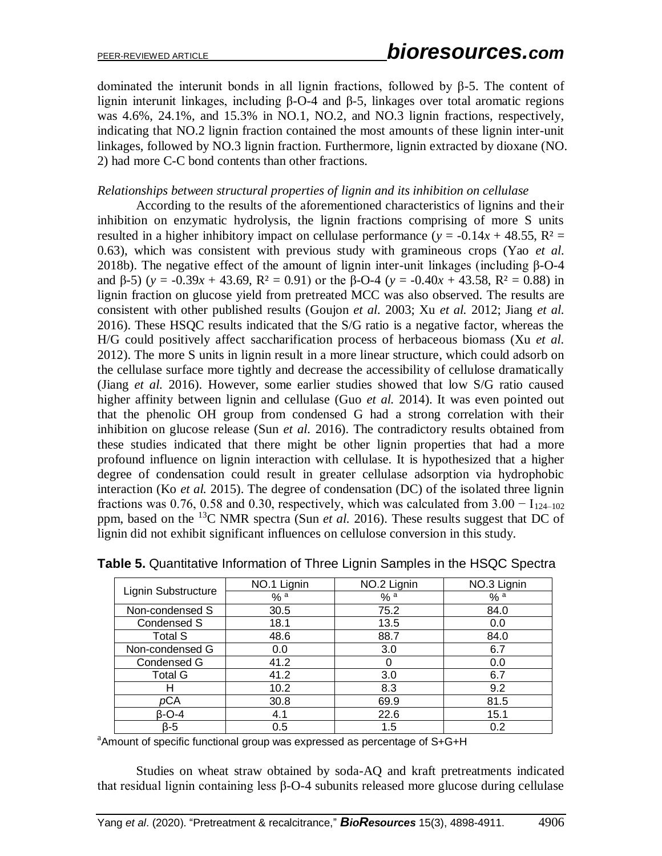dominated the interunit bonds in all lignin fractions, followed by β-5. The content of lignin interunit linkages, including β-O-4 and β-5, linkages over total aromatic regions was 4.6%, 24.1%, and 15.3% in NO.1, NO.2, and NO.3 lignin fractions, respectively, indicating that NO.2 lignin fraction contained the most amounts of these lignin inter-unit linkages, followed by NO.3 lignin fraction. Furthermore, lignin extracted by dioxane (NO. 2) had more C-C bond contents than other fractions.

#### *Relationships between structural properties of lignin and its inhibition on cellulase*

According to the results of the aforementioned characteristics of lignins and their inhibition on enzymatic hydrolysis, the lignin fractions comprising of more S units resulted in a higher inhibitory impact on cellulase performance ( $y = -0.14x + 48.55$ ,  $R^2 =$ 0.63), which was consistent with previous study with gramineous crops (Yao *et al.* 2018b). The negative effect of the amount of lignin inter-unit linkages (including β-O-4 and  $\beta$ -5) ( $y = -0.39x + 43.69$ ,  $R^2 = 0.91$ ) or the  $\beta$ -O-4 ( $y = -0.40x + 43.58$ ,  $R^2 = 0.88$ ) in lignin fraction on glucose yield from pretreated MCC was also observed. The results are consistent with other published results (Goujon *et al.* 2003; Xu *et al.* 2012; Jiang *et al.* 2016). These HSQC results indicated that the S/G ratio is a negative factor, whereas the H/G could positively affect saccharification process of herbaceous biomass (Xu *et al.* 2012). The more S units in lignin result in a more linear structure, which could adsorb on the cellulase surface more tightly and decrease the accessibility of cellulose dramatically (Jiang *et al.* 2016). However, some earlier studies showed that low S/G ratio caused higher affinity between lignin and cellulase (Guo *et al.* 2014). It was even pointed out that the phenolic OH group from condensed G had a strong correlation with their inhibition on glucose release (Sun *et al.* 2016). The contradictory results obtained from these studies indicated that there might be other lignin properties that had a more profound influence on lignin interaction with cellulase. It is hypothesized that a higher degree of condensation could result in greater cellulase adsorption via hydrophobic interaction (Ko *et al.* 2015). The degree of condensation (DC) of the isolated three lignin fractions was 0.76, 0.58 and 0.30, respectively, which was calculated from  $3.00 - I_{124-102}$ ppm, based on the <sup>13</sup>C NMR spectra (Sun *et al.* 2016). These results suggest that DC of lignin did not exhibit significant influences on cellulose conversion in this study.

| Lignin Substructure | NO.1 Lignin | NO.2 Lignin | NO.3 Lignin |
|---------------------|-------------|-------------|-------------|
|                     | % a         | % a         | $\%$ a      |
| Non-condensed S     | 30.5        | 75.2        | 84.0        |
| Condensed S         | 18.1        | 13.5        | 0.0         |
| <b>Total S</b>      | 48.6        | 88.7        | 84.0        |
| Non-condensed G     | 0.0         | 3.0         | 6.7         |
| Condensed G         | 41.2        | 0           | 0.0         |
| <b>Total G</b>      | 41.2        | 3.0         | 6.7         |
| н                   | 10.2        | 8.3         | 9.2         |
| pCA                 | 30.8        | 69.9        | 81.5        |
| β-O-4               | 4.1         | 22.6        | 15.1        |
| $\beta - 5$         | 0.5         | 1.5         | 0.2         |

**Table 5.** Quantitative Information of Three Lignin Samples in the HSQC Spectra

<sup>a</sup>Amount of specific functional group was expressed as percentage of S+G+H

Studies on wheat straw obtained by soda-AQ and kraft pretreatments indicated that residual lignin containing less β-O-4 subunits released more glucose during cellulase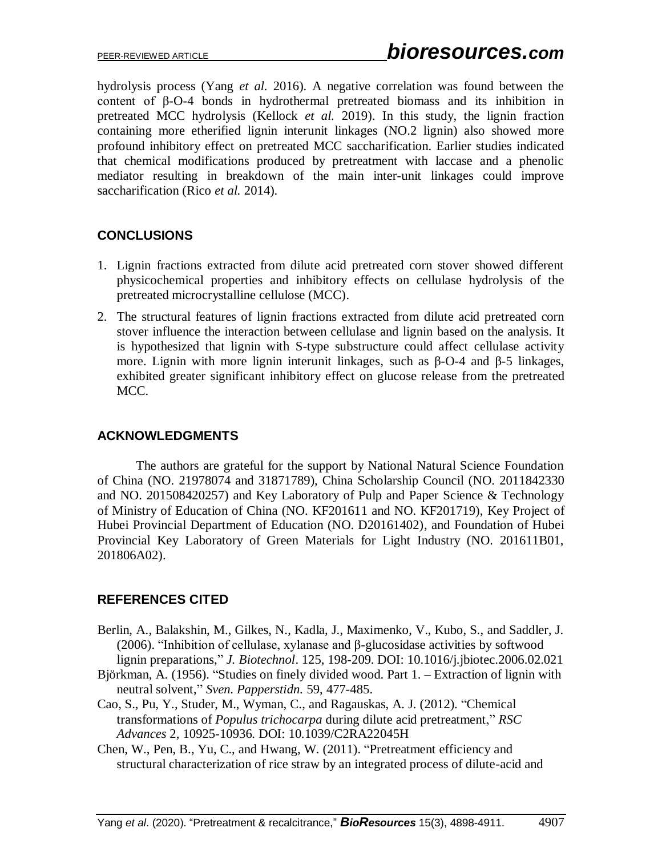hydrolysis process (Yang *et al.* 2016). A negative correlation was found between the content of β-O-4 bonds in hydrothermal pretreated biomass and its inhibition in pretreated MCC hydrolysis (Kellock *et al.* 2019). In this study, the lignin fraction containing more etherified lignin interunit linkages (NO.2 lignin) also showed more profound inhibitory effect on pretreated MCC saccharification. Earlier studies indicated that chemical modifications produced by pretreatment with laccase and a phenolic mediator resulting in breakdown of the main inter-unit linkages could improve saccharification (Rico *et al.* 2014).

# **CONCLUSIONS**

- 1. Lignin fractions extracted from dilute acid pretreated corn stover showed different physicochemical properties and inhibitory effects on cellulase hydrolysis of the pretreated microcrystalline cellulose (MCC).
- 2. The structural features of lignin fractions extracted from dilute acid pretreated corn stover influence the interaction between cellulase and lignin based on the analysis. It is hypothesized that lignin with S-type substructure could affect cellulase activity more. Lignin with more lignin interunit linkages, such as  $β$ -O-4 and  $β$ -5 linkages, exhibited greater significant inhibitory effect on glucose release from the pretreated MCC.

# **ACKNOWLEDGMENTS**

The authors are grateful for the support by National Natural Science Foundation of China (NO. 21978074 and 31871789), China Scholarship Council (NO. 2011842330 and NO. 201508420257) and Key Laboratory of Pulp and Paper Science & Technology of Ministry of Education of China (NO. KF201611 and NO. KF201719), Key Project of Hubei Provincial Department of Education (NO. D20161402), and Foundation of Hubei Provincial Key Laboratory of Green Materials for Light Industry (NO. 201611B01, 201806A02).

# **REFERENCES CITED**

- Berlin, A., Balakshin, M., Gilkes, N., Kadla, J., Maximenko, V., Kubo, S., and Saddler, J. (2006). "Inhibition of cellulase, xylanase and β-glucosidase activities by softwood lignin preparations," *J. Biotechnol*. 125, 198-209. DOI: 10.1016/j.jbiotec.2006.02.021
- Björkman, A. (1956). "Studies on finely divided wood. Part 1. Extraction of lignin with neutral solvent," *Sven. Papperstidn.* 59, 477-485.
- Cao, S., Pu, Y., Studer, M., Wyman, C., and Ragauskas, A. J. (2012). "Chemical transformations of *Populus trichocarpa* during dilute acid pretreatment," *RSC Advances* 2, 10925-10936. DOI: 10.1039/C2RA22045H
- Chen, W., Pen, B., Yu, C., and Hwang, W. (2011). "Pretreatment efficiency and structural characterization of rice straw by an integrated process of dilute-acid and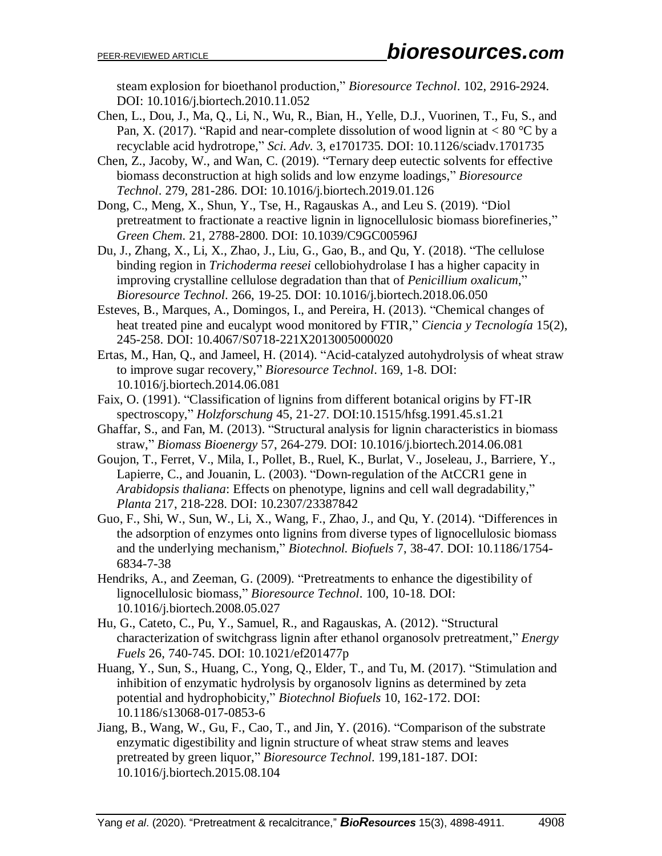steam explosion for bioethanol production," *Bioresource Technol*. 102, 2916-2924. DOI: 10.1016/j.biortech.2010.11.052

- Chen, L., Dou, J., Ma, Q., Li, N., Wu, R., Bian, H., Yelle, D.J., Vuorinen, T., Fu, S., and Pan, X. (2017). "Rapid and near-complete dissolution of wood lignin at  $< 80$  °C by a recyclable acid hydrotrope," *Sci. Adv*. 3, e1701735. DOI: 10.1126/sciadv.1701735
- Chen, Z., Jacoby, W., and Wan, C. (2019). "Ternary deep eutectic solvents for effective biomass deconstruction at high solids and low enzyme loadings," *Bioresource Technol*. 279, 281-286. DOI: 10.1016/j.biortech.2019.01.126
- Dong, C., Meng, X., Shun, Y., Tse, H., Ragauskas A., and Leu S. (2019). "Diol pretreatment to fractionate a reactive lignin in lignocellulosic biomass biorefineries," *Green Chem*. 21, 2788-2800. DOI: 10.1039/C9GC00596J
- Du, J., Zhang, X., Li, X., Zhao, J., Liu, G., Gao, B., and Qu, Y. (2018). "The cellulose binding region in *Trichoderma reesei* cellobiohydrolase I has a higher capacity in improving crystalline cellulose degradation than that of *Penicillium oxalicum*," *Bioresource Technol*. 266, 19-25. DOI: 10.1016/j.biortech.2018.06.050
- Esteves, B., Marques, A., Domingos, I., and Pereira, H. (2013). "Chemical changes of heat treated pine and eucalypt wood monitored by FTIR," *Ciencia y Tecnología* 15(2), 245-258. DOI: 10.4067/S0718-221X2013005000020
- Ertas, M., Han, Q., and Jameel, H. (2014). "Acid-catalyzed autohydrolysis of wheat straw to improve sugar recovery," *Bioresource Technol*. 169, 1-8. DOI: 10.1016/j.biortech.2014.06.081
- Faix, O. (1991). "Classification of lignins from different botanical origins by FT-IR spectroscopy," *Holzforschung* 45, 21-27. DOI:10.1515/hfsg.1991.45.s1.21
- Ghaffar, S., and Fan, M. (2013). "Structural analysis for lignin characteristics in biomass straw," *Biomass Bioenergy* 57, 264-279. DOI: 10.1016/j.biortech.2014.06.081
- Goujon, T., Ferret, V., Mila, I., Pollet, B., Ruel, K., Burlat, V., Joseleau, J., Barriere, Y., Lapierre, C., and Jouanin, L. (2003). "Down-regulation of the AtCCR1 gene in *Arabidopsis thaliana*: Effects on phenotype, lignins and cell wall degradability," *Planta* 217, 218-228. DOI: 10.2307/23387842
- Guo, F., Shi, W., Sun, W., Li, X., Wang, F., Zhao, J., and Qu, Y. (2014). "Differences in the adsorption of enzymes onto lignins from diverse types of lignocellulosic biomass and the underlying mechanism," *Biotechnol. Biofuels* 7, 38-47. DOI: 10.1186/1754- 6834-7-38
- Hendriks, A., and Zeeman, G. (2009). "Pretreatments to enhance the digestibility of lignocellulosic biomass," *Bioresource Technol*. 100, 10-18. DOI: 10.1016/j.biortech.2008.05.027
- Hu, G., Cateto, C., Pu, Y., Samuel, R., and Ragauskas, A. (2012). "Structural characterization of switchgrass lignin after ethanol organosolv pretreatment," *Energy Fuels* 26, 740-745. DOI: 10.1021/ef201477p
- Huang, Y., Sun, S., Huang, C., Yong, Q., Elder, T., and Tu, M. (2017). "Stimulation and inhibition of enzymatic hydrolysis by organosolv lignins as determined by zeta potential and hydrophobicity," *Biotechnol Biofuels* 10, 162-172. DOI: 10.1186/s13068-017-0853-6
- Jiang, B., Wang, W., Gu, F., Cao, T., and Jin, Y. (2016). "Comparison of the substrate enzymatic digestibility and lignin structure of wheat straw stems and leaves pretreated by green liquor," *Bioresource Technol*. 199,181-187. DOI: 10.1016/j.biortech.2015.08.104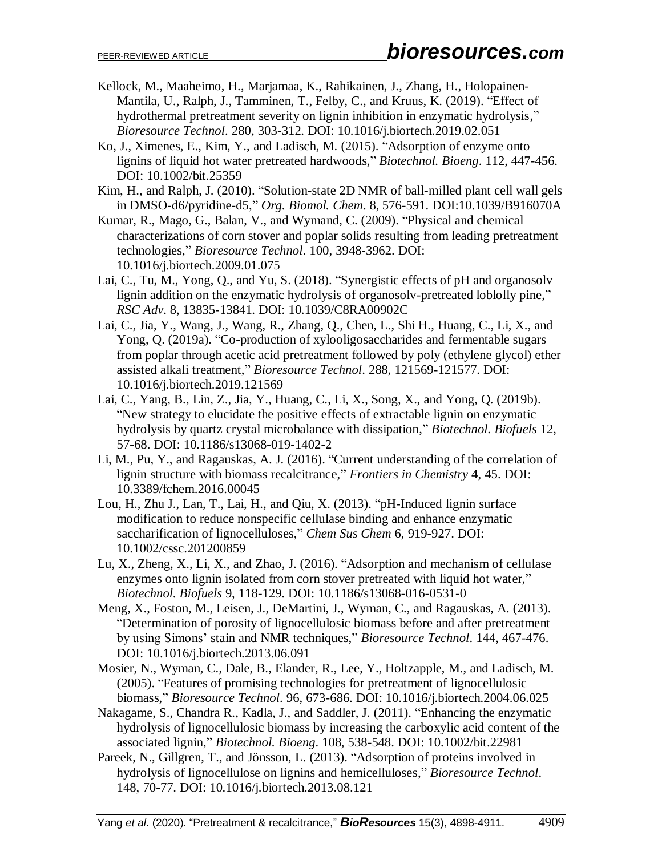- Kellock, M., Maaheimo, H., Marjamaa, K., Rahikainen, J., Zhang, H., Holopainen-Mantila, U., Ralph, J., Tamminen, T., Felby, C., and Kruus, K. (2019). "Effect of hydrothermal pretreatment severity on lignin inhibition in enzymatic hydrolysis," *Bioresource Technol*. 280, 303-312. DOI: 10.1016/j.biortech.2019.02.051
- Ko, J., Ximenes, E., Kim, Y., and Ladisch, M. (2015). "Adsorption of enzyme onto lignins of liquid hot water pretreated hardwoods," *Biotechnol. Bioeng*. 112, 447-456. DOI: 10.1002/bit.25359
- Kim, H., and Ralph, J. (2010). "Solution-state 2D NMR of ball-milled plant cell wall gels in DMSO-d6/pyridine-d5," *Org. Biomol. Chem*. 8, 576-591. DOI:10.1039/B916070A
- Kumar, R., Mago, G., Balan, V., and Wymand, C. (2009). "Physical and chemical characterizations of corn stover and poplar solids resulting from leading pretreatment technologies," *Bioresource Technol*. 100, 3948-3962. DOI: 10.1016/j.biortech.2009.01.075
- Lai, C., Tu, M., Yong, Q., and Yu, S. (2018). "Synergistic effects of pH and organosolv lignin addition on the enzymatic hydrolysis of organosolv-pretreated loblolly pine," *RSC Adv*. 8, 13835-13841. DOI: 10.1039/C8RA00902C
- Lai, C., Jia, Y., Wang, J., Wang, R., Zhang, Q., Chen, L., Shi H., Huang, C., Li, X., and Yong, Q. (2019a). "Co-production of xylooligosaccharides and fermentable sugars from poplar through acetic acid pretreatment followed by poly (ethylene glycol) ether assisted alkali treatment," *Bioresource Technol*. 288, 121569-121577. DOI: 10.1016/j.biortech.2019.121569
- Lai, C., Yang, B., Lin, Z., Jia, Y., Huang, C., Li, X., Song, X., and Yong, Q. (2019b). "New strategy to elucidate the positive effects of extractable lignin on enzymatic hydrolysis by quartz crystal microbalance with dissipation," *Biotechnol. Biofuels* 12, 57-68. DOI: 10.1186/s13068-019-1402-2
- Li, M., Pu, Y., and Ragauskas, A. J. (2016). "Current understanding of the correlation of lignin structure with biomass recalcitrance," *Frontiers in Chemistry* 4, 45. DOI: 10.3389/fchem.2016.00045
- Lou, H., Zhu J., Lan, T., Lai, H., and Qiu, X. (2013). "pH-Induced lignin surface modification to reduce nonspecific cellulase binding and enhance enzymatic saccharification of lignocelluloses," *Chem Sus Chem* 6, 919-927. DOI: 10.1002/cssc.201200859
- Lu, X., Zheng, X., Li, X., and Zhao, J. (2016). "Adsorption and mechanism of cellulase enzymes onto lignin isolated from corn stover pretreated with liquid hot water," *Biotechnol. Biofuels* 9, 118-129. DOI: 10.1186/s13068-016-0531-0
- Meng, X., Foston, M., Leisen, J., DeMartini, J., Wyman, C., and Ragauskas, A. (2013). "Determination of porosity of lignocellulosic biomass before and after pretreatment by using Simons' stain and NMR techniques," *Bioresource Technol*. 144, 467-476. DOI: 10.1016/j.biortech.2013.06.091
- Mosier, N., Wyman, C., Dale, B., Elander, R., Lee, Y., Holtzapple, M., and Ladisch, M. (2005). "Features of promising technologies for pretreatment of lignocellulosic biomass," *Bioresource Technol*. 96, 673-686. DOI: 10.1016/j.biortech.2004.06.025
- Nakagame, S., Chandra R., Kadla, J., and Saddler, J. (2011). "Enhancing the enzymatic hydrolysis of lignocellulosic biomass by increasing the carboxylic acid content of the associated lignin," *Biotechnol. Bioeng*. 108, 538-548. DOI: 10.1002/bit.22981
- Pareek, N., Gillgren, T., and Jönsson, L. (2013). "Adsorption of proteins involved in hydrolysis of lignocellulose on lignins and hemicelluloses," *Bioresource Technol*. 148, 70-77. DOI: 10.1016/j.biortech.2013.08.121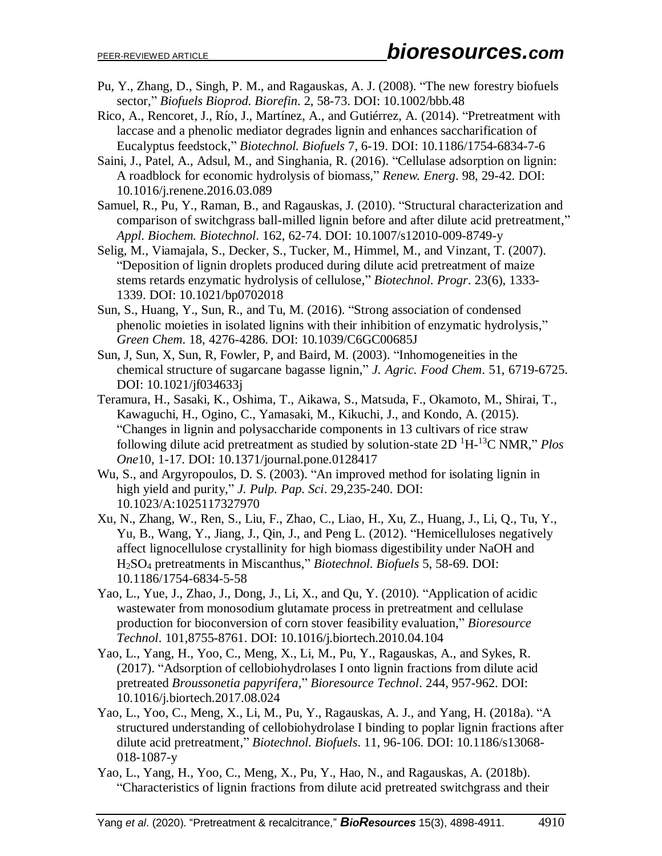- Pu, Y., Zhang, D., Singh, P. M., and Ragauskas, A. J. (2008). "The new forestry biofuels sector," *Biofuels Bioprod. Biorefin*. 2, 58-73. DOI: 10.1002/bbb.48
- Rico, A., Rencoret, J., Río, J., Martínez, A., and Gutiérrez, A. (2014). "Pretreatment with laccase and a phenolic mediator degrades lignin and enhances saccharification of Eucalyptus feedstock," *Biotechnol. Biofuels* 7, 6-19. DOI: 10.1186/1754-6834-7-6
- Saini, J., Patel, A., Adsul, M., and Singhania, R. (2016). "Cellulase adsorption on lignin: A roadblock for economic hydrolysis of biomass," *Renew. Energ*. 98, 29-42. DOI: 10.1016/j.renene.2016.03.089
- Samuel, R., Pu, Y., Raman, B., and Ragauskas, J. (2010). "Structural characterization and comparison of switchgrass ball-milled lignin before and after dilute acid pretreatment," *Appl. Biochem. Biotechnol*. 162, 62-74. DOI: 10.1007/s12010-009-8749-y
- Selig, M., Viamajala, S., Decker, S., Tucker, M., Himmel, M., and Vinzant, T. (2007). "Deposition of lignin droplets produced during dilute acid pretreatment of maize stems retards enzymatic hydrolysis of cellulose," *Biotechnol. Progr*. 23(6), 1333- 1339. DOI: 10.1021/bp0702018
- Sun, S., Huang, Y., Sun, R., and Tu, M. (2016). "Strong association of condensed phenolic moieties in isolated lignins with their inhibition of enzymatic hydrolysis," *Green Chem*. 18, 4276-4286. DOI: 10.1039/C6GC00685J
- Sun, J, Sun, X, Sun, R, Fowler, P, and Baird, M. (2003). "Inhomogeneities in the chemical structure of sugarcane bagasse lignin," *J. Agric. Food Chem*. 51, 6719-6725. DOI: 10.1021/jf034633j
- Teramura, H., Sasaki, K., Oshima, T., Aikawa, S., Matsuda, F., Okamoto, M., Shirai, T., Kawaguchi, H., Ogino, C., Yamasaki, M., Kikuchi, J., and Kondo, A. (2015). "Changes in lignin and polysaccharide components in 13 cultivars of rice straw following dilute acid pretreatment as studied by solution-state 2D <sup>1</sup>H-<sup>13</sup>C NMR," *Plos One*10, 1-17. DOI: 10.1371/journal.pone.0128417
- Wu, S., and Argyropoulos, D. S. (2003). "An improved method for isolating lignin in high yield and purity," *J. Pulp. Pap. Sci*. 29,235-240. DOI: 10.1023/A:1025117327970
- Xu, N., Zhang, W., Ren, S., Liu, F., Zhao, C., Liao, H., Xu, Z., Huang, J., Li, Q., Tu, Y., Yu, B., Wang, Y., Jiang, J., Qin, J., and Peng L. (2012). "Hemicelluloses negatively affect lignocellulose crystallinity for high biomass digestibility under NaOH and H2SO<sup>4</sup> pretreatments in Miscanthus," *Biotechnol. Biofuels* 5, 58-69. DOI: 10.1186/1754-6834-5-58
- Yao, L., Yue, J., Zhao, J., Dong, J., Li, X., and Qu, Y. (2010). "Application of acidic wastewater from monosodium glutamate process in pretreatment and cellulase production for bioconversion of corn stover feasibility evaluation," *Bioresource Technol*. 101,8755-8761. DOI: 10.1016/j.biortech.2010.04.104
- Yao, L., Yang, H., Yoo, C., Meng, X., Li, M., Pu, Y., Ragauskas, A., and Sykes, R. (2017). "Adsorption of cellobiohydrolases I onto lignin fractions from dilute acid pretreated *Broussonetia papyrifera*," *Bioresource Technol*. 244, 957-962. DOI: 10.1016/j.biortech.2017.08.024
- Yao, L., Yoo, C., Meng, X., Li, M., Pu, Y., Ragauskas, A. J., and Yang, H. (2018a). "A structured understanding of cellobiohydrolase I binding to poplar lignin fractions after dilute acid pretreatment," *Biotechnol. Biofuels*. 11, 96-106. DOI: 10.1186/s13068- 018-1087-y
- Yao, L., Yang, H., Yoo, C., Meng, X., Pu, Y., Hao, N., and Ragauskas, A. (2018b). "Characteristics of lignin fractions from dilute acid pretreated switchgrass and their